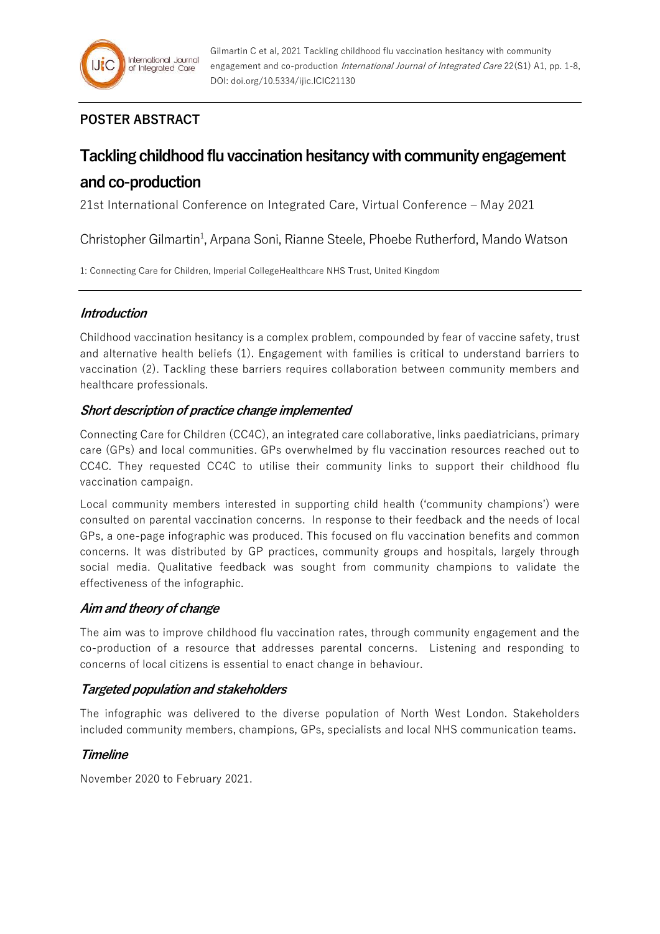# **POSTER ABSTRACT**

# **Tackling childhood flu vaccination hesitancy with community engagement and co-production**

21st International Conference on Integrated Care, Virtual Conference – May 2021

Christopher Gilmartin<sup>1</sup>, Arpana Soni, Rianne Steele, Phoebe Rutherford, Mando Watson

1: Connecting Care for Children, Imperial CollegeHealthcare NHS Trust, United Kingdom

# **Introduction**

Childhood vaccination hesitancy is a complex problem, compounded by fear of vaccine safety, trust and alternative health beliefs (1). Engagement with families is critical to understand barriers to vaccination (2). Tackling these barriers requires collaboration between community members and healthcare professionals.

# **Short description of practice change implemented**

Connecting Care for Children (CC4C), an integrated care collaborative, links paediatricians, primary care (GPs) and local communities. GPs overwhelmed by flu vaccination resources reached out to CC4C. They requested CC4C to utilise their community links to support their childhood flu vaccination campaign.

Local community members interested in supporting child health ('community champions') were consulted on parental vaccination concerns. In response to their feedback and the needs of local GPs, a one-page infographic was produced. This focused on flu vaccination benefits and common concerns. It was distributed by GP practices, community groups and hospitals, largely through social media. Qualitative feedback was sought from community champions to validate the effectiveness of the infographic.

# **Aim and theory of change**

The aim was to improve childhood flu vaccination rates, through community engagement and the co-production of a resource that addresses parental concerns. Listening and responding to concerns of local citizens is essential to enact change in behaviour.

# **Targeted population and stakeholders**

The infographic was delivered to the diverse population of North West London. Stakeholders included community members, champions, GPs, specialists and local NHS communication teams.

# **Timeline**

November 2020 to February 2021.